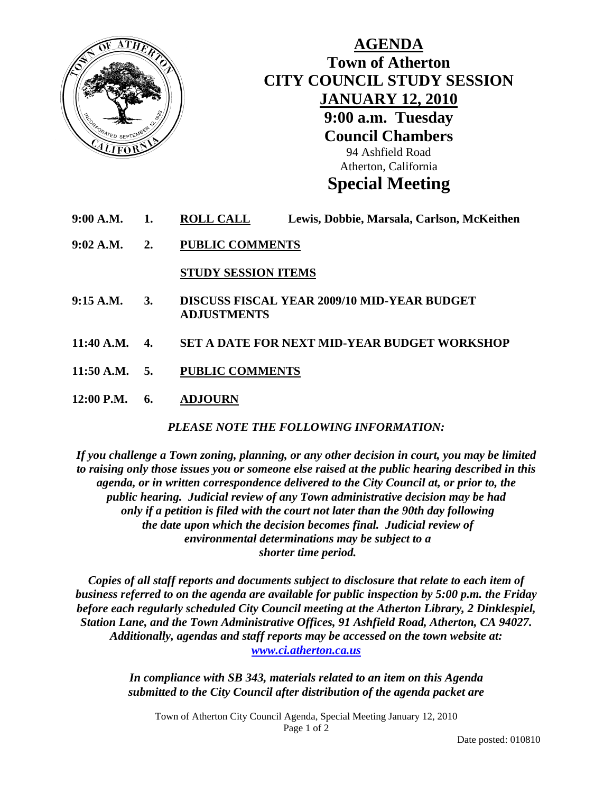

## **AGENDA Town of Atherton CITY COUNCIL STUDY SESSION JANUARY 12, 2010 9:00 a.m. Tuesday Council Chambers**  94 Ashfield Road Atherton, California **Special Meeting**

- **9:00 A.M. 1. ROLL CALL Lewis, Dobbie, Marsala, Carlson, McKeithen**
- **9:02 A.M. 2. PUBLIC COMMENTS**

 **STUDY SESSION ITEMS**

- **9:15 A.M. 3. DISCUSS FISCAL YEAR 2009/10 MID-YEAR BUDGET ADJUSTMENTS**
- **11:40 A.M. 4. SET A DATE FOR NEXT MID-YEAR BUDGET WORKSHOP**
- **11:50 A.M. 5. PUBLIC COMMENTS**
- **12:00 P.M. 6. ADJOURN**

*PLEASE NOTE THE FOLLOWING INFORMATION:* 

*If you challenge a Town zoning, planning, or any other decision in court, you may be limited to raising only those issues you or someone else raised at the public hearing described in this agenda, or in written correspondence delivered to the City Council at, or prior to, the public hearing. Judicial review of any Town administrative decision may be had only if a petition is filed with the court not later than the 90th day following the date upon which the decision becomes final. Judicial review of environmental determinations may be subject to a shorter time period.* 

*Copies of all staff reports and documents subject to disclosure that relate to each item of business referred to on the agenda are available for public inspection by 5:00 p.m. the Friday before each regularly scheduled City Council meeting at the Atherton Library, 2 Dinklespiel, Station Lane, and the Town Administrative Offices, 91 Ashfield Road, Atherton, CA 94027. Additionally, agendas and staff reports may be accessed on the town website at: [www.ci.atherton.ca.us](http://www.ci.atherton.ca.us/)* 

> *In compliance with SB 343, materials related to an item on this Agenda submitted to the City Council after distribution of the agenda packet are*

Town of Atherton City Council Agenda, Special Meeting January 12, 2010 Page 1 of 2